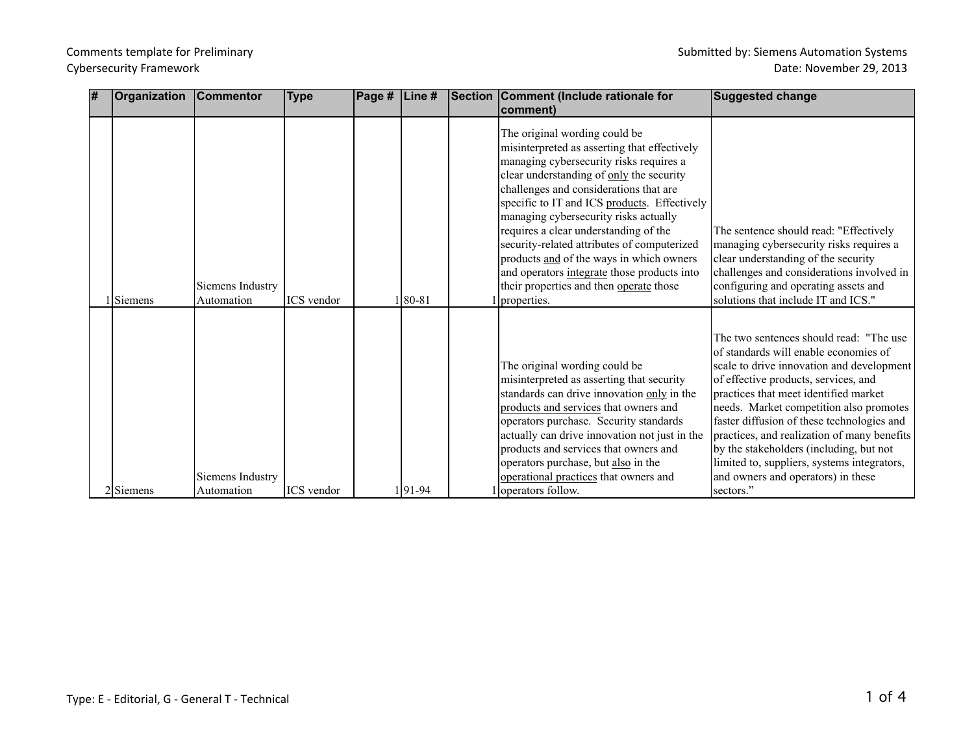| # | Organization   | <b>Commentor</b>               | <b>Type</b> | Page # | Line #   | Section Comment (Include rationale for<br>comment)                                                                                                                                                                                                                                                                                                                                                                                                                                                                                                   | <b>Suggested change</b>                                                                                                                                                                                                                                                                                                                                                                                                                                                                             |
|---|----------------|--------------------------------|-------------|--------|----------|------------------------------------------------------------------------------------------------------------------------------------------------------------------------------------------------------------------------------------------------------------------------------------------------------------------------------------------------------------------------------------------------------------------------------------------------------------------------------------------------------------------------------------------------------|-----------------------------------------------------------------------------------------------------------------------------------------------------------------------------------------------------------------------------------------------------------------------------------------------------------------------------------------------------------------------------------------------------------------------------------------------------------------------------------------------------|
|   | <b>Siemens</b> | Siemens Industry<br>Automation | ICS vendor  |        | $ 80-81$ | The original wording could be<br>misinterpreted as asserting that effectively<br>managing cybersecurity risks requires a<br>clear understanding of only the security<br>challenges and considerations that are<br>specific to IT and ICS products. Effectively<br>managing cybersecurity risks actually<br>requires a clear understanding of the<br>security-related attributes of computerized<br>products and of the ways in which owners<br>and operators integrate those products into<br>their properties and then operate those<br>properties. | The sentence should read: "Effectively<br>managing cybersecurity risks requires a<br>clear understanding of the security<br>challenges and considerations involved in<br>configuring and operating assets and<br>solutions that include IT and ICS."                                                                                                                                                                                                                                                |
|   | 2 Siemens      | Siemens Industry<br>Automation | ICS vendor  |        | 1191-94  | The original wording could be<br>misinterpreted as asserting that security<br>standards can drive innovation only in the<br>products and services that owners and<br>operators purchase. Security standards<br>actually can drive innovation not just in the<br>products and services that owners and<br>operators purchase, but also in the<br>operational practices that owners and<br>loperators follow.                                                                                                                                          | The two sentences should read: "The use<br>of standards will enable economies of<br>scale to drive innovation and development<br>of effective products, services, and<br>practices that meet identified market<br>needs. Market competition also promotes<br>faster diffusion of these technologies and<br>practices, and realization of many benefits<br>by the stakeholders (including, but not<br>limited to, suppliers, systems integrators,<br>and owners and operators) in these<br>sectors." |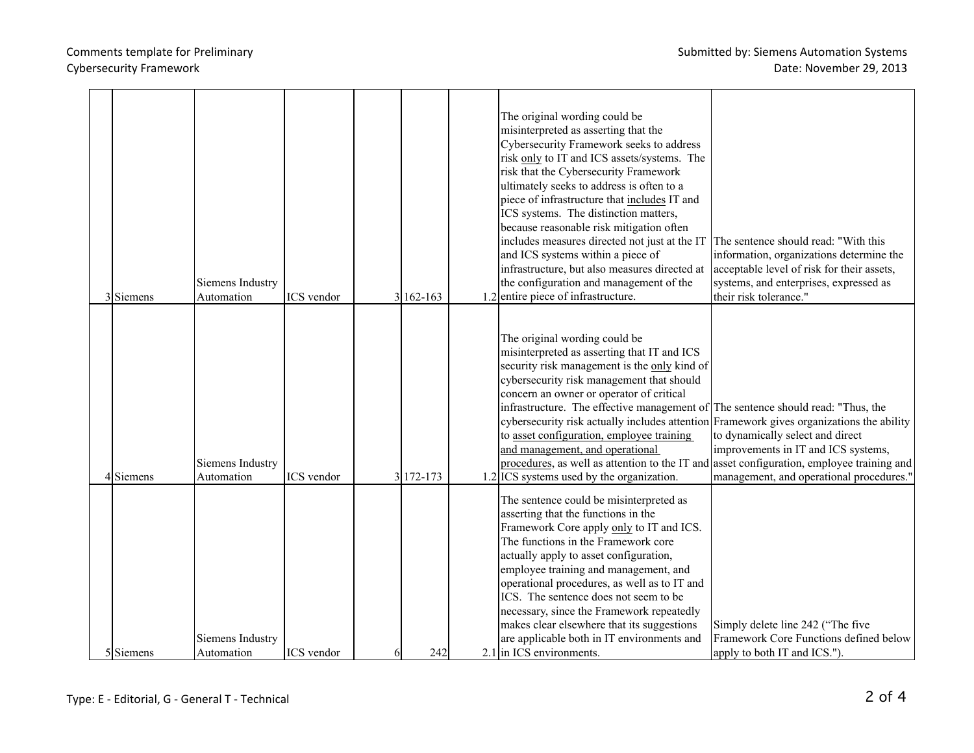Comments template for Preliminary and the state of the state of the Submitted by: Siemens Automation Systems Date: November 29, 2013

| 3 Siemens | Siemens Industry<br>Automation | ICS vendor        |    | $3 162-163$ | The original wording could be<br>misinterpreted as asserting that the<br>Cybersecurity Framework seeks to address<br>risk only to IT and ICS assets/systems. The<br>risk that the Cybersecurity Framework<br>ultimately seeks to address is often to a<br>piece of infrastructure that includes IT and<br>ICS systems. The distinction matters,<br>because reasonable risk mitigation often<br>includes measures directed not just at the IT<br>and ICS systems within a piece of<br>infrastructure, but also measures directed at<br>the configuration and management of the<br>$1.2$ entire piece of infrastructure.          | The sentence should read: "With this<br>information, organizations determine the<br>acceptable level of risk for their assets,<br>systems, and enterprises, expressed as<br>their risk tolerance." |
|-----------|--------------------------------|-------------------|----|-------------|---------------------------------------------------------------------------------------------------------------------------------------------------------------------------------------------------------------------------------------------------------------------------------------------------------------------------------------------------------------------------------------------------------------------------------------------------------------------------------------------------------------------------------------------------------------------------------------------------------------------------------|----------------------------------------------------------------------------------------------------------------------------------------------------------------------------------------------------|
| 4Siemens  | Siemens Industry<br>Automation | <b>ICS</b> vendor |    | 3 172 - 173 | The original wording could be<br>misinterpreted as asserting that IT and ICS<br>security risk management is the only kind of<br>cybersecurity risk management that should<br>concern an owner or operator of critical<br>infrastructure. The effective management of The sentence should read: "Thus, the<br>cybersecurity risk actually includes attention Framework gives organizations the ability<br>to asset configuration, employee training<br>and management, and operational<br>procedures, as well as attention to the IT and asset configuration, employee training and<br>1.2 ICS systems used by the organization. | to dynamically select and direct<br>improvements in IT and ICS systems,<br>management, and operational procedures."                                                                                |
| 5 Siemens | Siemens Industry<br>Automation | <b>ICS</b> vendor | 61 | 242         | The sentence could be misinterpreted as<br>asserting that the functions in the<br>Framework Core apply only to IT and ICS.<br>The functions in the Framework core<br>actually apply to asset configuration,<br>employee training and management, and<br>operational procedures, as well as to IT and<br>ICS. The sentence does not seem to be<br>necessary, since the Framework repeatedly<br>makes clear elsewhere that its suggestions<br>are applicable both in IT environments and<br>2.1 in ICS environments.                                                                                                              | Simply delete line 242 ("The five"<br>Framework Core Functions defined below<br>apply to both IT and ICS.").                                                                                       |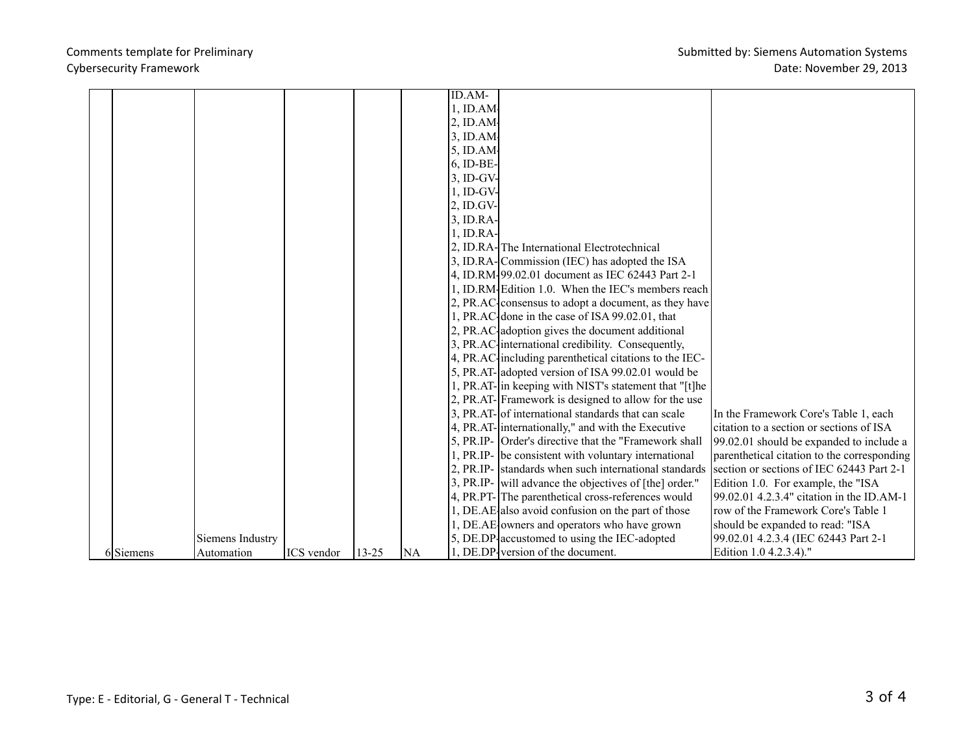## Cybersecurity Framework

|           |                  |                   |           |           | ID.AM-              |                                                         |                                             |
|-----------|------------------|-------------------|-----------|-----------|---------------------|---------------------------------------------------------|---------------------------------------------|
|           |                  |                   |           |           | $1$ , ID.AM $\cdot$ |                                                         |                                             |
|           |                  |                   |           |           | $2$ , ID.AM $\cdot$ |                                                         |                                             |
|           |                  |                   |           |           | $3$ , ID.AM $\cdot$ |                                                         |                                             |
|           |                  |                   |           |           | 5, ID.AM.           |                                                         |                                             |
|           |                  |                   |           |           | 6, ID-BE-           |                                                         |                                             |
|           |                  |                   |           |           | 3, ID-GV-           |                                                         |                                             |
|           |                  |                   |           |           | $1$ , ID-GV-        |                                                         |                                             |
|           |                  |                   |           |           | 2, ID.GV-           |                                                         |                                             |
|           |                  |                   |           |           | 3, ID.RA-           |                                                         |                                             |
|           |                  |                   |           |           | $1$ , ID.RA-        |                                                         |                                             |
|           |                  |                   |           |           |                     | 2, ID.RA-The International Electrotechnical             |                                             |
|           |                  |                   |           |           |                     | 3, ID.RA-Commission (IEC) has adopted the ISA           |                                             |
|           |                  |                   |           |           |                     | 4, ID.RM-99.02.01 document as IEC 62443 Part 2-1        |                                             |
|           |                  |                   |           |           |                     | 1, ID.RM. Edition 1.0. When the IEC's members reach     |                                             |
|           |                  |                   |           |           |                     | 2, PR.AC consensus to adopt a document, as they have    |                                             |
|           |                  |                   |           |           |                     | 1, PR.AC done in the case of ISA 99.02.01, that         |                                             |
|           |                  |                   |           |           |                     | 2, PR.AC adoption gives the document additional         |                                             |
|           |                  |                   |           |           |                     | 3, PR.AC international credibility. Consequently,       |                                             |
|           |                  |                   |           |           |                     | 4, PR.AC including parenthetical citations to the IEC-  |                                             |
|           |                  |                   |           |           |                     | 5, PR.AT-adopted version of ISA 99.02.01 would be       |                                             |
|           |                  |                   |           |           |                     | 1, PR.AT- in keeping with NIST's statement that "[t] he |                                             |
|           |                  |                   |           |           |                     | 2, PR.AT-Framework is designed to allow for the use     |                                             |
|           |                  |                   |           |           |                     | 3, PR.AT-of international standards that can scale      | In the Framework Core's Table 1, each       |
|           |                  |                   |           |           |                     | 4, PR.AT- internationally," and with the Executive      | citation to a section or sections of ISA    |
|           |                  |                   |           |           |                     | 5, PR.IP- Order's directive that the "Framework shall"  | 99.02.01 should be expanded to include a    |
|           |                  |                   |           |           |                     | 1, PR.IP- be consistent with voluntary international    | parenthetical citation to the corresponding |
|           |                  |                   |           |           |                     | 2, PR.IP- standards when such international standards   | section or sections of IEC 62443 Part 2-1   |
|           |                  |                   |           |           |                     | 3, PR.IP- will advance the objectives of [the] order."  | Edition 1.0. For example, the "ISA          |
|           |                  |                   |           |           |                     | 4, PR.PT-The parenthetical cross-references would       | 99.02.01 4.2.3.4" citation in the ID.AM-1   |
|           |                  |                   |           |           |                     | 1, DE.AE also avoid confusion on the part of those      | row of the Framework Core's Table 1         |
|           |                  |                   |           |           |                     | 1, DE.AE owners and operators who have grown            | should be expanded to read: "ISA            |
|           | Siemens Industry |                   |           |           |                     | 5, DE.DP accustomed to using the IEC-adopted            | 99.02.01 4.2.3.4 (IEC 62443 Part 2-1        |
| 6 Siemens | Automation       | <b>ICS</b> vendor | $13 - 25$ | <b>NA</b> |                     | 1, DE.DP version of the document.                       | Edition 1.0 4.2.3.4)."                      |